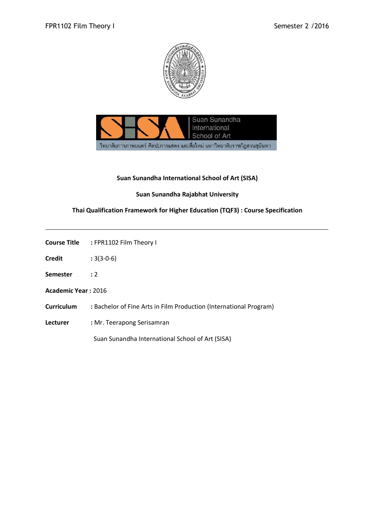



## **Suan Sunandha International School of Art (SISA)**

# **Suan Sunandha Rajabhat University**

# **Thai Qualification Framework for Higher Education (TQF3) : Course Specification**

|                     | <b>Course Title : FPR1102 Film Theory I</b>                        |
|---------------------|--------------------------------------------------------------------|
|                     |                                                                    |
| Credit              | $:3(3-0-6)$                                                        |
| Semester            | $\cdot$ 2                                                          |
| Academic Year: 2016 |                                                                    |
| Curriculum          | : Bachelor of Fine Arts in Film Production (International Program) |
| Lecturer            | : Mr. Teerapong Serisamran                                         |
|                     | Suan Sunandha International School of Art (SISA)                   |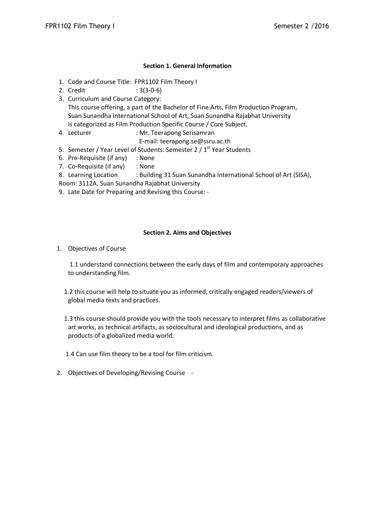## **Section 1. General Information**

- 1. Code and Course Title: FPR1102 Film Theory I
- 2. Credit : 3(3-0-6)
- 3. Curriculum and Course Category: This course offering, a part of the Bachelor of Fine Arts, Film Production Program, Suan Sunandha International School of Art, Suan Sunandha Rajabhat University is categorized as Film Production Specific Course / Core Subject.
- 4. Lecturer : Mr. Teerapong Serisamran
	- E-mail: teerapong.se@ssru.ac.th
- 5. Semester / Year Level of Students: Semester 2 / 1<sup>st</sup> Year Students
- 6. Pre-Requisite (if any) : None
- 7. Co-Requisite (if any) : None
- 8. Learning Location : Building 31 Suan Sunandha International School of Art (SISA),
- Room: 3112A, Suan Sunandha Rajabhat University
- 9. Late Date for Preparing and Revising this Course: -

#### **Section 2. Aims and Objectives**

1. Objectives of Course

1.1 understand connections between the early days of film and contemporary approaches to understanding film.

- 1.2 this course will help to situate you as informed, critically engaged readers/viewers of global media texts and practices.
- 1.3 this course should provide you with the tools necessary to interpret films as collaborative art works, as technical artifacts, as sociocultural and ideological productions, and as products of a globalized media world.

1.4 Can use film theory to be a tool for film criticism.

2. Objectives of Developing/Revising Course -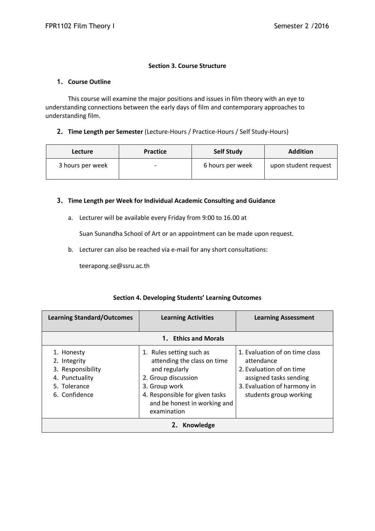## **Section 3. Course Structure**

### **1. Course Outline**

This course will examine the major positions and issues in film theory with an eye to understanding connections between the early days of film and contemporary approaches to understanding film.

## **2. Time Length per Semester** (Lecture-Hours / Practice-Hours / Self Study-Hours)

| <b>Lecture</b>   | <b>Practice</b>          | <b>Self Study</b> | <b>Addition</b>      |
|------------------|--------------------------|-------------------|----------------------|
| 3 hours per week | $\overline{\phantom{0}}$ | 6 hours per week  | upon student request |

#### **3. Time Length per Week for Individual Academic Consulting and Guidance**

a. Lecturer will be available every Friday from 9:00 to 16.00 at

Suan Sunandha School of Art or an appointment can be made upon request.

b. Lecturer can also be reached via e-mail for any short consultations:

teerapong.se@ssru.ac.th

## **Section 4. Developing Students' Learning Outcomes**

| <b>Learning Standard/Outcomes</b>                                                                  | <b>Learning Activities</b>                                                                                                                                                                        | <b>Learning Assessment</b>                                                                                                                                  |  |  |
|----------------------------------------------------------------------------------------------------|---------------------------------------------------------------------------------------------------------------------------------------------------------------------------------------------------|-------------------------------------------------------------------------------------------------------------------------------------------------------------|--|--|
|                                                                                                    | 1. Ethics and Morals                                                                                                                                                                              |                                                                                                                                                             |  |  |
| 1. Honesty<br>2. Integrity<br>3. Responsibility<br>4. Punctuality<br>5. Tolerance<br>6. Confidence | 1. Rules setting such as<br>attending the class on time<br>and regularly<br>2. Group discussion<br>3. Group work<br>4. Responsible for given tasks<br>and be honest in working and<br>examination | 1. Evaluation of on time class<br>attendance<br>2. Evaluation of on time<br>assigned tasks sending<br>3. Evaluation of harmony in<br>students group working |  |  |
| Knowledge                                                                                          |                                                                                                                                                                                                   |                                                                                                                                                             |  |  |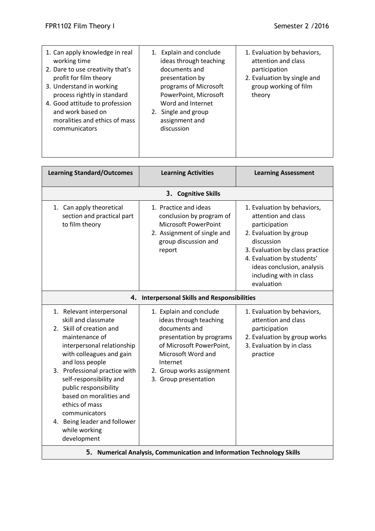| 1. Can apply knowledge in real<br>working time<br>2. Dare to use creativity that's<br>profit for film theory<br>3. Understand in working<br>process rightly in standard<br>4. Good attitude to profession<br>and work based on<br>moralities and ethics of mass<br>communicators | Explain and conclude<br>1.<br>ideas through teaching<br>documents and<br>presentation by<br>programs of Microsoft<br>PowerPoint, Microsoft<br>Word and Internet<br>2. Single and group<br>assignment and<br>discussion | 1. Evaluation by behaviors,<br>attention and class<br>participation<br>2. Evaluation by single and<br>group working of film<br>theory |
|----------------------------------------------------------------------------------------------------------------------------------------------------------------------------------------------------------------------------------------------------------------------------------|------------------------------------------------------------------------------------------------------------------------------------------------------------------------------------------------------------------------|---------------------------------------------------------------------------------------------------------------------------------------|
| <b>Learning Standard/Outcomes</b>                                                                                                                                                                                                                                                | <b>Learning Activities</b>                                                                                                                                                                                             | <b>Learning Assessment</b>                                                                                                            |
|                                                                                                                                                                                                                                                                                  | <b>Cognitive Skills</b><br>3.                                                                                                                                                                                          |                                                                                                                                       |
| 1. Can apply theoretical<br>section and practical part<br>to film theory                                                                                                                                                                                                         | 1. Practice and ideas<br>conclusion by program of<br>Microsoft PowerPoint<br>2. Assignment of single and                                                                                                               | 1. Evaluation by behaviors,<br>attention and class<br>participation<br>2. Evaluation by group                                         |

| $111115$ started by satisfill                                                                                                                                                                                                                                                                                                                                                                  |                                                                                                                                                                                                                    |                                                                                                                                                                                                                                                     |  |  |
|------------------------------------------------------------------------------------------------------------------------------------------------------------------------------------------------------------------------------------------------------------------------------------------------------------------------------------------------------------------------------------------------|--------------------------------------------------------------------------------------------------------------------------------------------------------------------------------------------------------------------|-----------------------------------------------------------------------------------------------------------------------------------------------------------------------------------------------------------------------------------------------------|--|--|
| 3. Cognitive Skills                                                                                                                                                                                                                                                                                                                                                                            |                                                                                                                                                                                                                    |                                                                                                                                                                                                                                                     |  |  |
| 1. Can apply theoretical<br>section and practical part<br>to film theory                                                                                                                                                                                                                                                                                                                       | 1. Practice and ideas<br>conclusion by program of<br>Microsoft PowerPoint<br>2. Assignment of single and<br>group discussion and<br>report                                                                         | 1. Evaluation by behaviors,<br>attention and class<br>participation<br>2. Evaluation by group<br>discussion<br>3. Evaluation by class practice<br>4. Evaluation by students'<br>ideas conclusion, analysis<br>including with in class<br>evaluation |  |  |
|                                                                                                                                                                                                                                                                                                                                                                                                | 4. Interpersonal Skills and Responsibilities                                                                                                                                                                       |                                                                                                                                                                                                                                                     |  |  |
| 1. Relevant interpersonal<br>skill and classmate<br>2. Skill of creation and<br>maintenance of<br>interpersonal relationship<br>with colleagues and gain<br>and loss people<br>3. Professional practice with<br>self-responsibility and<br>public responsibility<br>based on moralities and<br>ethics of mass<br>communicators<br>4. Being leader and follower<br>while working<br>development | 1. Explain and conclude<br>ideas through teaching<br>documents and<br>presentation by programs<br>of Microsoft PowerPoint,<br>Microsoft Word and<br>Internet<br>2. Group works assignment<br>3. Group presentation | 1. Evaluation by behaviors,<br>attention and class<br>participation<br>2. Evaluation by group works<br>3. Evaluation by in class<br>practice                                                                                                        |  |  |
| 5. Numerical Analysis, Communication and Information Technology Skills                                                                                                                                                                                                                                                                                                                         |                                                                                                                                                                                                                    |                                                                                                                                                                                                                                                     |  |  |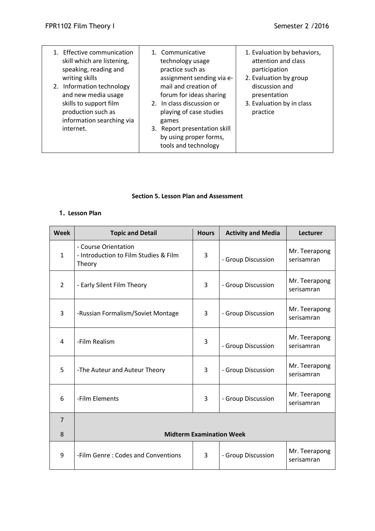| 1. Effective communication<br>skill which are listening,<br>speaking, reading and<br>writing skills<br>2. Information technology<br>and new media usage<br>skills to support film<br>production such as<br>information searching via<br>internet. | 1. Communicative<br>technology usage<br>practice such as<br>assignment sending via e-<br>mail and creation of<br>forum for ideas sharing<br>2. In class discussion or<br>playing of case studies<br>games<br>3. Report presentation skill<br>by using proper forms, | 1. Evaluation by behaviors,<br>attention and class<br>participation<br>2. Evaluation by group<br>discussion and<br>presentation<br>3. Evaluation by in class<br>practice |
|---------------------------------------------------------------------------------------------------------------------------------------------------------------------------------------------------------------------------------------------------|---------------------------------------------------------------------------------------------------------------------------------------------------------------------------------------------------------------------------------------------------------------------|--------------------------------------------------------------------------------------------------------------------------------------------------------------------------|
|                                                                                                                                                                                                                                                   | tools and technology                                                                                                                                                                                                                                                |                                                                                                                                                                          |

### **Section 5. Lesson Plan and Assessment**

# **1. Lesson Plan**

| <b>Week</b>    | <b>Topic and Detail</b>                                                 | <b>Hours</b>   | <b>Activity and Media</b> | <b>Lecturer</b>             |
|----------------|-------------------------------------------------------------------------|----------------|---------------------------|-----------------------------|
| $\mathbf{1}$   | - Course Orientation<br>- Introduction to Film Studies & Film<br>Theory | 3              | - Group Discussion        | Mr. Teerapong<br>serisamran |
| $\overline{2}$ | - Early Silent Film Theory                                              | 3              | - Group Discussion        | Mr. Teerapong<br>serisamran |
| 3              | -Russian Formalism/Soviet Montage                                       | 3              | - Group Discussion        | Mr. Teerapong<br>serisamran |
| 4              | -Film Realism                                                           | 3              | - Group Discussion        | Mr. Teerapong<br>serisamran |
| 5              | -The Auteur and Auteur Theory                                           | 3              | - Group Discussion        | Mr. Teerapong<br>serisamran |
| 6              | -Film Elements                                                          | $\overline{3}$ | - Group Discussion        | Mr. Teerapong<br>serisamran |
| $\overline{7}$ |                                                                         |                |                           |                             |
| 8              | <b>Midterm Examination Week</b>                                         |                |                           |                             |
| 9              | -Film Genre: Codes and Conventions                                      | 3              | - Group Discussion        | Mr. Teerapong<br>serisamran |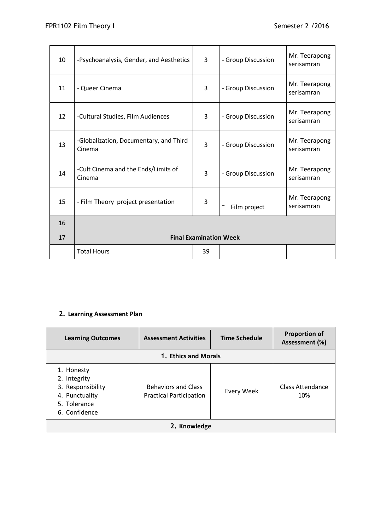| 10 | -Psychoanalysis, Gender, and Aesthetics          | 3  | - Group Discussion | Mr. Teerapong<br>serisamran |
|----|--------------------------------------------------|----|--------------------|-----------------------------|
| 11 | - Queer Cinema                                   | 3  | - Group Discussion | Mr. Teerapong<br>serisamran |
| 12 | -Cultural Studies, Film Audiences                | 3  | - Group Discussion | Mr. Teerapong<br>serisamran |
| 13 | -Globalization, Documentary, and Third<br>Cinema | 3  | - Group Discussion | Mr. Teerapong<br>serisamran |
| 14 | -Cult Cinema and the Ends/Limits of<br>Cinema    | 3  | - Group Discussion | Mr. Teerapong<br>serisamran |
| 15 | - Film Theory project presentation               | 3  | Film project       | Mr. Teerapong<br>serisamran |
| 16 |                                                  |    |                    |                             |
| 17 | <b>Final Examination Week</b>                    |    |                    |                             |
|    | <b>Total Hours</b>                               | 39 |                    |                             |

# **2. Learning Assessment Plan**

| <b>Learning Outcomes</b>                                                                           | <b>Assessment Activities</b>                                 | <b>Time Schedule</b> | <b>Proportion of</b><br>Assessment (%) |  |
|----------------------------------------------------------------------------------------------------|--------------------------------------------------------------|----------------------|----------------------------------------|--|
|                                                                                                    | 1. Ethics and Morals                                         |                      |                                        |  |
| 1. Honesty<br>2. Integrity<br>3. Responsibility<br>4. Punctuality<br>5. Tolerance<br>6. Confidence | <b>Behaviors and Class</b><br><b>Practical Participation</b> | Every Week           | Class Attendance<br>10%                |  |
| 2. Knowledge                                                                                       |                                                              |                      |                                        |  |

and the control of the control of the control of the control of the control of the control of the control of the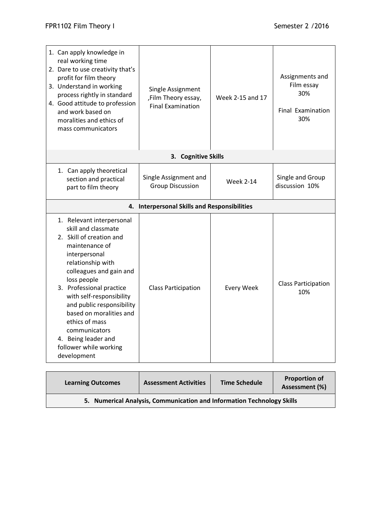| 1. Can apply knowledge in<br>real working time<br>2. Dare to use creativity that's<br>profit for film theory<br>3. Understand in working<br>process rightly in standard<br>4. Good attitude to profession<br>and work based on<br>moralities and ethics of<br>mass communicators                                                                                                                  | Single Assignment<br>,Film Theory essay,<br><b>Final Examination</b> | Week 2-15 and 17  | Assignments and<br>Film essay<br>30%<br><b>Final Examination</b><br>30% |
|---------------------------------------------------------------------------------------------------------------------------------------------------------------------------------------------------------------------------------------------------------------------------------------------------------------------------------------------------------------------------------------------------|----------------------------------------------------------------------|-------------------|-------------------------------------------------------------------------|
|                                                                                                                                                                                                                                                                                                                                                                                                   | 3. Cognitive Skills                                                  |                   |                                                                         |
| 1. Can apply theoretical<br>section and practical<br>part to film theory                                                                                                                                                                                                                                                                                                                          | Single Assignment and<br><b>Group Discussion</b>                     | <b>Week 2-14</b>  | Single and Group<br>discussion 10%                                      |
|                                                                                                                                                                                                                                                                                                                                                                                                   | 4. Interpersonal Skills and Responsibilities                         |                   |                                                                         |
| 1. Relevant interpersonal<br>skill and classmate<br>2. Skill of creation and<br>maintenance of<br>interpersonal<br>relationship with<br>colleagues and gain and<br>loss people<br>3. Professional practice<br>with self-responsibility<br>and public responsibility<br>based on moralities and<br>ethics of mass<br>communicators<br>4. Being leader and<br>follower while working<br>development | <b>Class Participation</b>                                           | <b>Every Week</b> | <b>Class Participation</b><br>10%                                       |

| <b>Learning Outcomes</b>                                               | <b>Assessment Activities</b> | <b>Time Schedule</b> | <b>Proportion of</b><br>Assessment (%) |
|------------------------------------------------------------------------|------------------------------|----------------------|----------------------------------------|
| 5. Numerical Analysis, Communication and Information Technology Skills |                              |                      |                                        |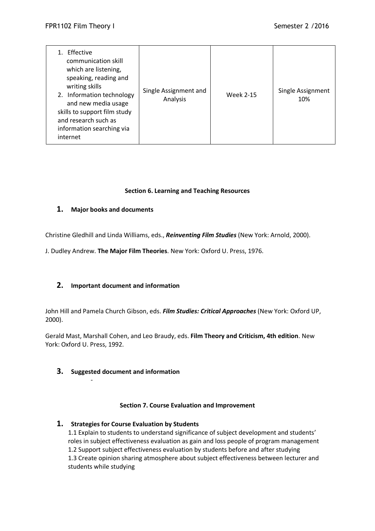| Effective<br>communication skill<br>which are listening,<br>speaking, reading and<br>writing skills<br>2. Information technology<br>and new media usage<br>skills to support film study<br>and research such as<br>information searching via<br>internet | Single Assignment and<br>Analysis | <b>Week 2-15</b> | Single Assignment<br>10% |
|----------------------------------------------------------------------------------------------------------------------------------------------------------------------------------------------------------------------------------------------------------|-----------------------------------|------------------|--------------------------|
|----------------------------------------------------------------------------------------------------------------------------------------------------------------------------------------------------------------------------------------------------------|-----------------------------------|------------------|--------------------------|

## **Section 6. Learning and Teaching Resources**

## **1. Major books and documents**

Christine Gledhill and Linda Williams, eds., *Reinventing Film Studies* (New York: Arnold, 2000).

J. Dudley Andrew. **The Major Film Theories**. New York: Oxford U. Press, 1976.

## **2. Important document and information**

John Hill and Pamela Church Gibson, eds. *Film Studies: Critical Approaches* (New York: Oxford UP, 2000).

Gerald Mast, Marshall Cohen, and Leo Braudy, eds. **Film Theory and Criticism, 4th edition**. New York: Oxford U. Press, 1992.

## **3. Suggested document and information**

-

#### **Section 7. Course Evaluation and Improvement**

## **1. Strategies for Course Evaluation by Students**

1.1 Explain to students to understand significance of subject development and students' roles in subject effectiveness evaluation as gain and loss people of program management 1.2 Support subject effectiveness evaluation by students before and after studying 1.3 Create opinion sharing atmosphere about subject effectiveness between lecturer and students while studying